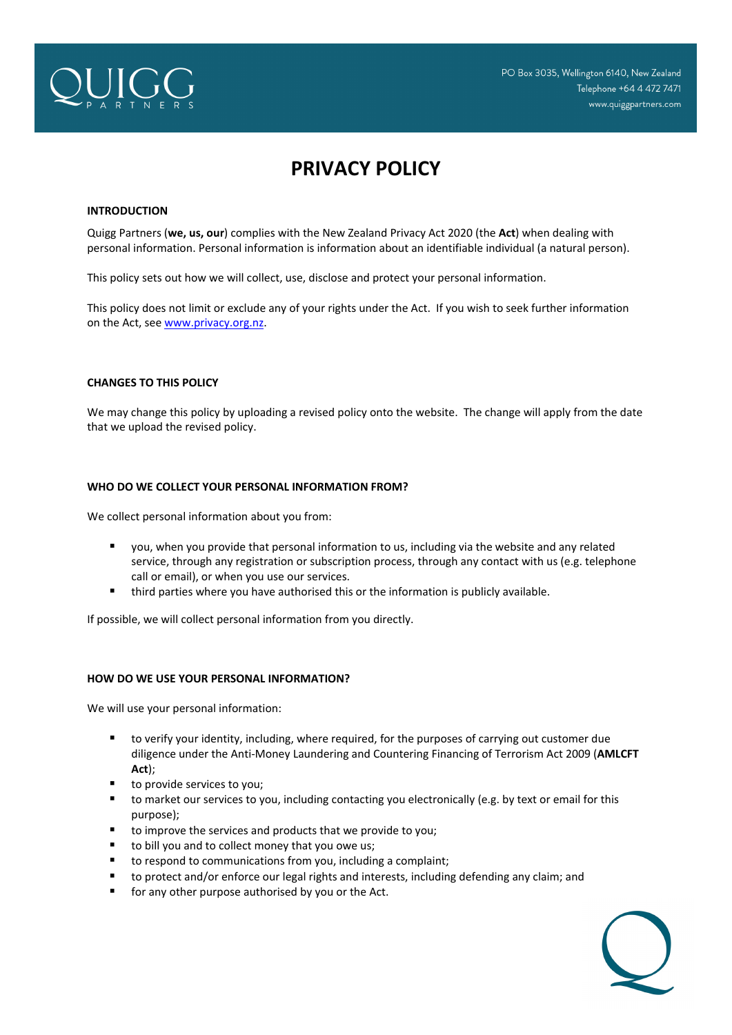

# **PRIVACY POLICY**

# **INTRODUCTION**

Quigg Partners (**we, us, our**) complies with the New Zealand Privacy Act 2020 (the **Act**) when dealing with personal information. Personal information is information about an identifiable individual (a natural person).

This policy sets out how we will collect, use, disclose and protect your personal information.

This policy does not limit or exclude any of your rights under the Act. If you wish to seek further information on the Act, see www.privacy.org.nz.

# **CHANGES TO THIS POLICY**

We may change this policy by uploading a revised policy onto the website. The change will apply from the date that we upload the revised policy.

# **WHO DO WE COLLECT YOUR PERSONAL INFORMATION FROM?**

We collect personal information about you from:

- you, when you provide that personal information to us, including via the website and any related service, through any registration or subscription process, through any contact with us (e.g. telephone call or email), or when you use our services.
- **f** third parties where you have authorised this or the information is publicly available.

If possible, we will collect personal information from you directly.

#### **HOW DO WE USE YOUR PERSONAL INFORMATION?**

We will use your personal information:

- to verify your identity, including, where required, for the purposes of carrying out customer due diligence under the Anti‐Money Laundering and Countering Financing of Terrorism Act 2009 (**AMLCFT Act**);
- to provide services to you;
- to market our services to you, including contacting you electronically (e.g. by text or email for this purpose);
- to improve the services and products that we provide to you;
- to bill you and to collect money that you owe us;
- to respond to communications from you, including a complaint;
- to protect and/or enforce our legal rights and interests, including defending any claim; and
- **for any other purpose authorised by you or the Act.**